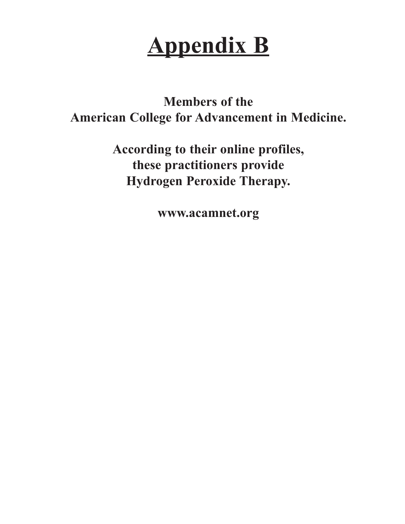# **Appendix B**

**Members of the American College for Advancement in Medicine.**

> **According to their online profiles, these practitioners provide Hydrogen Peroxide Therapy.**

> > **www.acamnet.org**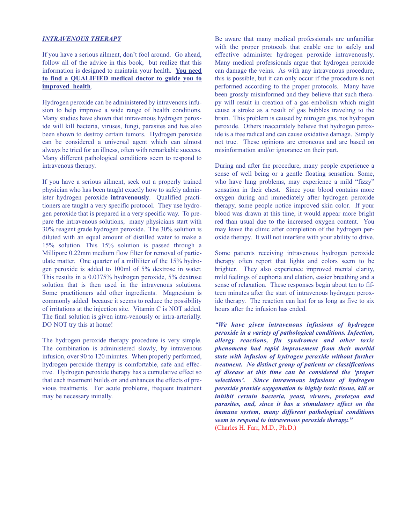# *INTRAVENOUS THERAPY*

If you have a serious ailment, don't fool around. Go ahead, follow all of the advice in this book, but realize that this information is designed to maintain your health. **You need to find a QUALIFIED medical doctor to guide you to improved health**.

Hydrogen peroxide can be administered by intravenous infusion to help improve a wide range of health conditions. Many studies have shown that intravenous hydrogen peroxide will kill bacteria, viruses, fungi, parasites and has also been shown to destroy certain tumors. Hydrogen peroxide can be considered a universal agent which can almost always be tried for an illness, often with remarkable success. Many different pathological conditions seem to respond to intravenous therapy.

If you have a serious ailment, seek out a properly trained physician who has been taught exactly how to safely administer hydrogen peroxide **intravenously**. Qualified practitioners are taught a very specific protocol. They use hydrogen peroxide that is prepared in a very specific way. To prepare the intravenous solutions, many physicians start with 30% reagent grade hydrogen peroxide. The 30% solution is diluted with an equal amount of distilled water to make a 15% solution. This 15% solution is passed through a Millipore 0.22mm medium flow filter for removal of particulate matter. One quarter of a milliliter of the 15% hydrogen peroxide is added to 100ml of 5% dextrose in water. This results in a 0.0375% hydrogen peroxide, 5% dextrose solution that is then used in the intravenous solutions. Some practitioners add other ingredients. Magnesium is commonly added because it seems to reduce the possibility of irritations at the injection site. Vitamin C is NOT added. The final solution is given intra-venously or intra-arterially. DO NOT try this at home!

The hydrogen peroxide therapy procedure is very simple. The combination is administered slowly, by intravenous infusion, over 90 to 120 minutes. When properly performed, hydrogen peroxide therapy is comfortable, safe and effective. Hydrogen peroxide therapy has a cumulative effect so that each treatment builds on and enhances the effects of previous treatments. For acute problems, frequent treatment may be necessary initially.

Be aware that many medical professionals are unfamiliar with the proper protocols that enable one to safely and effective administer hydrogen peroxide intravenously. Many medical professionals argue that hydrogen peroxide can damage the veins. As with any intravenous procedure, this is possible, but it can only occur if the procedure is not performed according to the proper protocols. Many have been grossly misinformed and they believe that such therapy will result in creation of a gas embolism which might cause a stroke as a result of gas bubbles traveling to the brain. This problem is caused by nitrogen gas, not hydrogen peroxide. Others inaccurately believe that hydrogen peroxide is a free radical and can cause oxidative damage. Simply not true. These opinions are erroneous and are based on misinformation and/or ignorance on their part.

During and after the procedure, many people experience a sense of well being or a gentle floating sensation. Some, who have lung problems, may experience a mild "fizzy" sensation in their chest. Since your blood contains more oxygen during and immediately after hydrogen peroxide therapy, some people notice improved skin color. If your blood was drawn at this time, it would appear more bright red than usual due to the increased oxygen content. You may leave the clinic after completion of the hydrogen peroxide therapy. It will not interfere with your ability to drive.

Some patients receiving intravenous hydrogen peroxide therapy often report that lights and colors seem to be brighter. They also experience improved mental clarity, mild feelings of euphoria and elation, easier breathing and a sense of relaxation. These responses begin about ten to fifteen minutes after the start of intravenous hydrogen peroxide therapy. The reaction can last for as long as five to six hours after the infusion has ended.

*"We have given intravenous infusions of hydrogen peroxide in a variety of pathological conditions. Infection, allergy reactions, flu syndromes and other toxic phenomena had rapid improvement from their morbid state with infusion of hydrogen peroxide without further treatment. No distinct group of patients or classifications of disease at this time can be considered the 'proper selections'. Since intravenous infusions of hydrogen peroxide provide oxygenation to highly toxic tissue, kill or inhibit certain bacteria, yeast, viruses, protozoa and parasites, and, since it has a stimulatory effect on the immune system, many different pathological conditions seem to respond to intravenous peroxide therapy."* (Charles H. Farr, M.D., Ph.D.)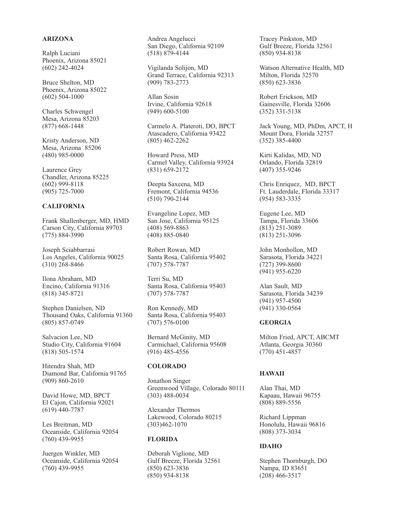# **ARIZONA**

Ralph Luciani Phoenix, Arizona 85021 (602) 242-4024

Bruce Shelton, MD Phoenix, Arizona 85022 (602) 504-1000

Charles Schwengel Mesa, Arizona 85203 (877) 668-1448

Kristy Anderson, ND Mesa, Arizona 85206 (480) 985-0000

Laurence Grey Chandler, Arizona 85225 (602) 999-8118 (905) 725-7000

# **CALIFORNIA**

Frank Shallenberger, MD, HMD Carson City, California 89703 (775) 884-3990

Joseph Sciabbarrasi Los Angeles, California 90025 (310) 268-8466

Ilona Abraham, MD Encino, California 91316 (818) 345-8721

Stephen Danielsen, ND Thousand Oaks, California 91360 (805) 857-0749

Salvacion Lee, ND Studio City, California 91604 (818) 505-1574

Hitendra Shah, MD Diamond Bar, California 91765 (909) 860-2610

David Howe, MD, BPCT El Cajon, California 92021 (619) 440-7787

Les Breitman, MD Oceanside, California 92054 (760) 439-9955

Juergen Winkler, MD Oceanside, California 92054 (760) 439-9955

Andrea Angelucci San Diego, California 92109 (518) 879-4144

Vigilanda Solijon, MD Grand Terrace, California 92313 (909) 783-2773

Allan Sosin Irvine, California 92618 (949) 600-5100

Carmelo A. Plateroti, DO, BPCT Atascadero, California 93422 (805) 462-2262

Howard Press, MD Carmel Valley, California 93924 (831) 659-2172

Deepta Saxeena, MD Fremont, California 94536 (510) 790-2144

Evangeline Lopez, MD San Jose, California 95125 (408) 569-8863 (408) 885-0840

Robert Rowan, MD Santa Rosa, California 95402 (707) 578-7787

Terri Su, MD Santa Rosa, California 95403 (707) 578-7787

Ron Kennedy, MD Santa Rosa, California 95403 (707) 576-0100

Bernard McGinity, MD Carmichael, California 95608 (916) 485-4556

#### **COLORADO**

Jonathon Singer Greenwood Village, Colorado 80111 (303) 488-0034

Alexander Thermos Lakewood, Colorado 80215 (303)462-1070

# **FLORIDA**

Deborah Viglione, MD Gulf Breeze, Florida 32561 (850) 623-3836 (850) 934-8138

Tracey Pinkston, MD Gulf Breeze, Florida 32561 (850) 934-8138

Watson Alternative Health, MD Milton, Florida 32570 (850) 623-3836

Robert Erickson, MD Gainesville, Florida 32606 (352) 331-5138

Jack Young, MD, PhDm, APCT, H Mount Dora, Florida 32757 (352) 385-4400

Kirti Kalidas, MD, ND Orlando, Florida 32819 (407) 355-9246

Chris Enriquez, MD, BPCT Ft. Lauderdale, Florida 33317 (954) 583-3335

Eugene Lee, MD Tampa, Florida 33606 (813) 251-3089 (813) 251-3096

John Monhollon, MD Sarasota, Florida 34221 (727) 399-8600 (941) 955-6220

Alan Sault, MD Sarasota, Florida 34239 (941) 957-4500 (941) 330-0564

## **GEORGIA**

Milton Fried, APCT, ABCMT Atlanta, Georgia 30360 (770) 451-4857

# **HAWAII**

Alan Thai, MD Kapaau, Hawaii 96755 (808) 889-5556

Richard Lippman Honolulu, Hawaii 96816 (808) 373-3034

## **IDAHO**

Stephen Thornburgh, DO Nampa, ID 83651 (208) 466-3517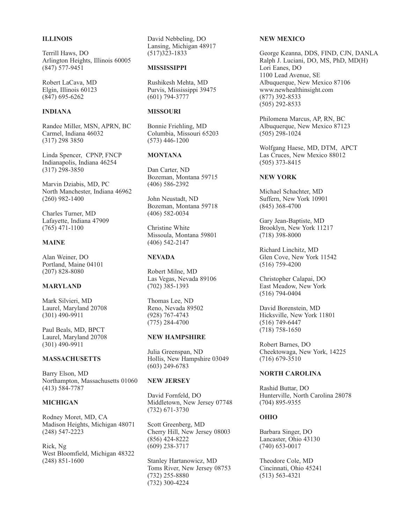# **ILLINOIS**

Terrill Haws, DO Arlington Heights, Illinois 60005 (847) 577-9451

Robert LaCava, MD Elgin, Illinois 60123 (847) 695-6262

# **INDIANA**

Randee Miller, MSN, APRN, BC Carmel, Indiana 46032 (317) 298 3850

Linda Spencer, CPNP, FNCP Indianapolis, Indiana 46254 (317) 298-3850

Marvin Dziabis, MD, PC North Manchester, Indiana 46962 (260) 982-1400

Charles Turner, MD Lafayette, Indiana 47909 (765) 471-1100

#### **MAINE**

Alan Weiner, DO Portland, Maine 04101 (207) 828-8080

# **MARYLAND**

Mark Silvieri, MD Laurel, Maryland 20708 (301) 490-9911

Paul Beals, MD, BPCT Laurel, Maryland 20708 (301) 490-9911

# **MASSACHUSETTS**

Barry Elson, MD Northampton, Massachusetts 01060 (413) 584-7787

#### **MICHIGAN**

Rodney Moret, MD, CA Madison Heights, Michigan 48071 (248) 547-2223

Rick, Ng West Bloomfield, Michigan 48322 (248) 851-1600

David Nebbeling, DO Lansing, Michigan 48917 (517)323-1833

#### **MISSISSIPPI**

Rushikesh Mehta, MD Purvis, Mississippi 39475 (601) 794-3777

# **MISSOURI**

Bonnie Friehling, MD Columbia, Missouri 65203 (573) 446-1200

# **MONTANA**

Dan Carter, ND Bozeman, Montana 59715 (406) 586-2392

John Neustadt, ND Bozeman, Montana 59718 (406) 582-0034

Christine White Missoula, Montana 59801 (406) 542-2147

#### **NEVADA**

Robert Milne, MD Las Vegas, Nevada 89106 (702) 385-1393

Thomas Lee, ND Reno, Nevada 89502 (928) 767-4743 (775) 284-4700

#### **NEW HAMPSHIRE**

Julia Greenspan, ND Hollis, New Hampshire 03049 (603) 249-6783

#### **NEW JERSEY**

David Fornfeld, DO Middletown, New Jersey 07748 (732) 671-3730

Scott Greenberg, MD Cherry Hill, New Jersey 08003 (856) 424-8222 (609) 238-3717

Stanley Hartanowicz, MD Toms River, New Jersey 08753 (732) 255-8880 (732) 300-4224

## **NEW MEXICO**

George Keanna, DDS, FIND, CJN, DANLA Ralph J. Luciani, DO, MS, PhD, MD(H) Lori Eanes, DO 1100 Lead Avenue, SE Albuquerque, New Mexico 87106 www.newhealthinsight.com (877) 392-8533 (505) 292-8533

Philomena Marcus, AP, RN, BC Albuquerque, New Mexico 87123 (505) 298-1024

Wolfgang Haese, MD, DTM, APCT Las Cruces, New Mexico 88012 (505) 373-8415

# **NEW YORK**

Michael Schachter, MD Suffern, New York 10901 (845) 368-4700

Gary Jean-Baptiste, MD Brooklyn, New York 11217 (718) 398-8000

Richard Linchitz, MD Glen Cove, New York 11542 (516) 759-4200

Christopher Calapai, DO East Meadow, New York (516) 794-0404

David Borenstein, MD Hicksville, New York 11801 (516) 749-6447 (718) 758-1650

Robert Barnes, DO Cheektowaga, New York, 14225 (716) 679-3510

# **NORTH CAROLINA**

Rashid Buttar, DO Hunterville, North Carolina 28078 (704) 895-9355

#### **OHIO**

Barbara Singer, DO Lancaster, Ohio 43130 (740) 653-0017

Theodore Cole, MD Cincinnati, Ohio 45241 (513) 563-4321